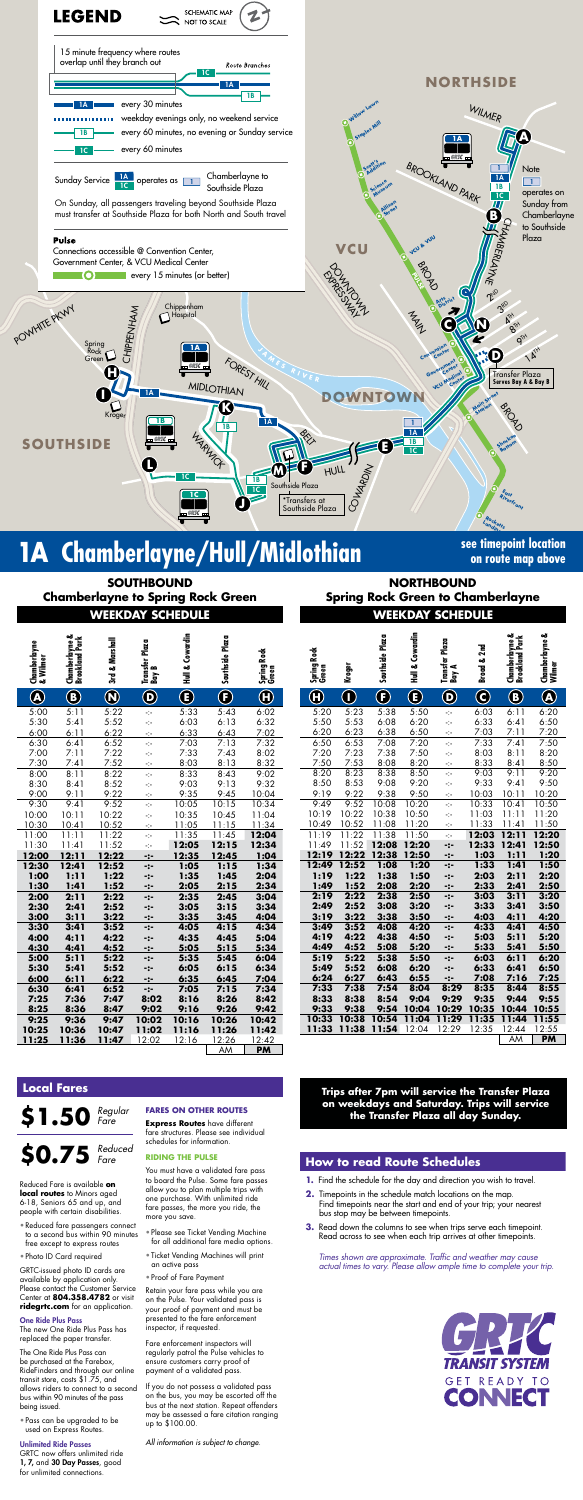

# **1A** Chamberlayne/Hull/Midlothian **See timepoint location**

**on route map above**

**WEEKDAY SCHEDULE WEEKDAY SCHEDULE SOUTHBOUND Chamberlayne to Spring Rock Green**

| <b>NORTHBOUND</b>                        |
|------------------------------------------|
| <b>Spring Rock Green to Chamberlayne</b> |
| <b>WEEKDAY SCHEDULE</b>                  |

**Trips after 7pm will service the Transfer Plaza on weekdays and Saturday. Trips will service the Transfer Plaza all day Sunday.**

| Chamberlayne<br>& Wilmer          | Chamberlayne &<br>Brookland Park     | 3rd & Marshall         | Plaza<br>Transfer  <br>Bay B   | Hull & Cowardin | Southside Plaza         | Spring Rock<br>Green                            | Spring Rock<br>Green                            | Kroger           | Southside Plaza      | Hull & Cowardin           | Transfer Plaza<br>Bay A        | 2nd<br>Broad & | Chamberlayne &<br>Brookland Park | ఱ<br>Chamberlayne &<br>Wilmer |
|-----------------------------------|--------------------------------------|------------------------|--------------------------------|-----------------|-------------------------|-------------------------------------------------|-------------------------------------------------|------------------|----------------------|---------------------------|--------------------------------|----------------|----------------------------------|-------------------------------|
| $\bigcirc\hspace{-1.5ex}\bigcirc$ | $\bigcircled{\scriptstyle{\bullet}}$ | $\bm{\mathsf{\Omega}}$ | $\boldsymbol{\mathsf{\Theta}}$ | $\bigcirc$      | $\overline{\textbf{C}}$ | $\textcolor{red}{\textcircled{\scriptsize{1}}}$ | $\textcolor{red}{\textcircled{\scriptsize{1}}}$ | $\mathbf \Theta$ | $\boldsymbol \Theta$ | $\textcircled{\small{f}}$ | $\boldsymbol{\mathsf{\Theta}}$ | $\bf{C}$       | $\bf{G}$                         | $\bigcirc$                    |
| 5:00                              | 5:11                                 | 5:22                   | $\mathcal{L}_{\mathcal{C}}$    | 5:33            | 5:43                    | 6:02                                            | 5:20                                            | 5:23             | 5:38                 | 5:50                      | $\mathcal{L}_{\mathcal{P}}$    | 6:03           | 6:11                             | 6:20                          |
| 5:30                              | 5:41                                 | 5:52                   | $\mathcal{L}_{\mathcal{C}}$    | 6:03            | 6:13                    | 6:32                                            | 5:50                                            | 5:53             | 6:08                 | 6:20                      | ÷t÷                            | 6:33           | 6:41                             | 6:50                          |
| 6:00                              | 6:11                                 | 6:22                   | $\mathcal{L}_{\mathcal{C}}$    | 6:33            | 6:43                    | 7:02                                            | 6:20                                            | 6:23             | 6:38                 | 6:50                      | $\gamma$                       | 7:03           | 7:11                             | 7:20                          |
| 6:30                              | 6:41                                 | 6:52                   | ÷                              | 7:03            | 7:13                    | 7:32                                            | 6:50                                            | 6:53             | 7:08                 | 7:20                      | $\mathcal{L}_{\mathcal{C}}$    | 7:33           | 7:41                             | 7:50                          |
| 7:00                              | 7:11                                 | 7:22                   | $\mathcal{L}_{\mathcal{C}}$    | 7:33            | 7:43                    | 8:02                                            | 7:20                                            | 7:23             | 7:38                 | 7:50                      | ÷                              | 8:03           | 8:11                             | 8:20                          |
| 7:30                              | 7:41                                 | 7:52                   | $\gamma$                       | 8:03            | 8:13                    | 8:32                                            | 7:50                                            | 7:53             | 8:08                 | 8:20                      | $\gamma$                       | 8:33           | 8:41                             | 8:50                          |
| 8:00                              | 8:11                                 | 8:22                   | ÷þ-                            | 8:33            | 8:43                    | 9:02                                            | 8:20                                            | 8:23             | 8:38                 | 8:50                      | ÷t÷                            | 9:03           | 9:11                             | 9:20                          |
| 8:30                              | 8:41                                 | 8:52                   | ÷                              | 9:03            | 9:13                    | 9:32                                            | 8:50                                            | 8:53             | 9:08                 | 9:20                      | $\mathcal{L}_{\mathcal{L}}$    | 9:33           | 9:41                             | 9:50                          |
| 9:00                              | 9:11                                 | 9:22                   | $\mathcal{L}_{\mathcal{C}}$    | 9:35            | 9:45                    | 10:04                                           | 9:19                                            | 9:22             | 9:38                 | 9:50                      | $\mathcal{L}_{\mathcal{C}}$    | 10:03          | 10:11                            | 10:20                         |
| 9:30                              | 9:41                                 | 9:52                   | Ą.                             | 10:05           | 10:15                   | 10:34                                           | 9:49                                            | 9:52             | 10:08                | 10:20                     | $\mathcal{L}_{\mathcal{C}}$    | 10:33          | 10:41                            | 10:50                         |
| 10:00                             | 10:11                                | 10:22                  | $\mathcal{L}_{\mathcal{C}}$    | 10:35           | 10:45                   | 11:04                                           | 10:19                                           | 10:22            | 10:38                | 10:50                     | $\mathcal{L}_{\mathcal{C}}$    | 11:03          | 11:11                            | 11:20                         |
| 10:30                             | 10:41                                | 10:52                  | $\frac{1}{2}$                  | 11:05           | 11:15                   | 11:34                                           | 10:49                                           | 10:52            | 11:08                | 11:20                     | $\gamma$                       | 11:33          | 11:41                            | 11:50                         |
| 11:00                             | 11:11                                | 11:22                  | ÷                              | 11:35           | 11:45                   | 12:04                                           | 11:19                                           | 11:22            | 11:38                | 11:50                     | $\mathcal{L}_{\mathcal{P}}$    | 12:03          | 12:11                            | 12:20                         |
| 11:30                             | 11:41                                | 11:52                  | ÷t÷                            | 12:05           | 12:15                   | 12:34                                           | 11:49                                           | 11:52            | 12:08                | 12:20                     | -:-                            | 12:33          | 12:41                            | 12:50                         |
| 12:00                             | 12:11                                | 12:22                  | $-2-$                          | 12:35           | 12:45                   | 1:04                                            | 12:19                                           |                  | 12:22 12:38          | 12:50                     | -:-                            | 1:03           | 1:11                             | 1:20                          |
| 12:30                             | 12:41                                | 12:52                  | -:-                            | 1:05            | 1:15                    | 1:34                                            | 12:49                                           | 12:52            | 1:08                 | 1:20                      | $-:-$                          | 1:33           | 1:41                             | 1:5(                          |
| 1:00                              | 1:11                                 | 1:22                   | -:-                            | 1:35            | 1:45                    | 2:04                                            | 1:19                                            | 1:22             | 1:38                 | 1:50                      | -:-                            | 2:03           | 2:11                             | 2:2(                          |
| 1:30                              | 1:41                                 | 1:52                   | -:-                            | 2:05            | 2:15                    | 2:34                                            | 1:49                                            | 1:52             | 2:08                 | 2:20                      | -:-                            | 2:33           | 2:41                             | 2:5(                          |
| 2:00                              | 2:11                                 | 2:22                   | -:-                            | 2:35            | 2:45                    | 3:04                                            | 2:19                                            | 2:22             | 2:38                 | 2:50                      | -:-                            | 3:03           | 3:11                             | 3:20                          |
| 2:30                              | 2:41                                 | 2:52                   | -:-                            | 3:05            | 3:15                    | 3:34                                            | 2:49                                            | 2:52             | 3:08                 | 3:20                      | -:-                            | 3:33           | 3:41                             | 3:5(                          |
| 3:00                              | 3:11                                 | 3:22                   | $-:-$                          | 3:35            | 3:45                    | 4:04                                            | 3:19                                            | 3:22             | 3:38                 | 3:50                      | $-:-$                          | 4:03           | 4:11                             | 4:2(                          |
| 3:30                              | 3:41                                 | 3:52                   | $-2-$                          | 4:05            | 4:15                    | 4:34                                            | 3:49                                            | 3:52             | 4:08                 | 4:20                      | -:-                            | 4:33           | 4:41                             | 4:5(                          |
| 4:00                              | 4:11                                 | 4:22                   | -:-                            | 4:35            | 4:45                    | 5:04                                            | 4:19                                            | 4:22             | 4:38                 | 4:50                      | -:-                            | 5:03           | 5:11                             | 5:2(                          |
| 4:30                              | 4:41                                 | 4:52                   | -:-                            | 5:05            | 5:15                    | 5:34                                            | 4:49                                            | 4:52             | 5:08                 | 5:20                      | -:-                            | 5:33           | 5:41                             | 5:5(                          |
| 5:00                              | 5:11                                 | 5:22                   | -:-                            | 5:35            | 5:45                    | 6:04                                            | 5:19                                            | 5:22             | 5:38                 | 5:50                      | -:-                            | 6:03           | 6:11                             | 6:20                          |
| 5:30                              | 5:41                                 | 5:52                   | -:-                            | 6:05            | 6:15                    | 6:34                                            | 5:49                                            | 5:52             | 6:08                 | 6:20                      | $-:-$                          | 6:33           | 6:41                             | 6:5 <sub>0</sub>              |
| 6:00                              | 6:11                                 | 6:22                   | -:-                            | 6:35            | 6:45                    | 7:04                                            | 6:24                                            | 6:27             | 6:43                 | 6:55                      | -:-                            | 7:08           | 7:16                             | 7:2!                          |
| 6:30                              | 6:41                                 | 6:52                   | $-2-$                          | 7:05            | 7:15                    | 7:34                                            | 7:33                                            | 7:38             | 7:54                 | 8:04                      | 8:29                           | 8:35           | 8:44                             | 8:5!                          |
| 7:25                              | 7:36                                 | 7:47                   | 8:02                           | 8:16            | 8:26                    | 8:42                                            | 8:33                                            | 8:38             | 8:54                 | 9:04                      | 9:29                           | 9:35           | 9:44                             | 9:5!                          |
| 8:25                              | 8:36                                 | 8:47                   | 9:02                           | 9:16            | 9:26                    | 9:42                                            | 9:33                                            | 9:38             | 9:54                 | 10:04                     | 10:29                          | 10:35          | 10:44                            | 10:5                          |
| 9:25                              | 9:36                                 | 9:47                   | 10:02                          | 10:16           | 10:26                   | 10:42                                           | 10:33                                           | 10:38            | 10:54                | 11:04                     | 11:29                          | 11:35          | 11:44                            | 11:55                         |
| 10:25                             | 10:36                                | 10:47                  | 11:02                          | 11:16           | 11:26                   | 11:42                                           | 11:33                                           | 11:38            | 11:54                | 12:04                     | 12:29                          | 12:35          | 12:44                            | 12:55                         |
| 11:25                             | 11:36                                | 11:47                  | 12:02                          | 12:16           | 12:26                   | 12:42                                           |                                                 |                  |                      |                           |                                |                | AΜ                               | <b>PM</b>                     |
|                                   |                                      |                        |                                |                 | AM                      | PM                                              |                                                 |                  |                      |                           |                                |                |                                  |                               |

*Times shown are approximate. Traffic and weather may cause actual times to vary. Please allow ample time to complete your trip.*



GRTC now offers unlimited ride 1, 7, and 30 Day Passes, good for unlimited connections.

|                                       |                                  | <u> 11112.11</u> |                              | <b>JUILDULL</b> |                          |                      |                      |                                |                 | <u> ALINYAL</u>    | <u>JUILDULL</u>             |                |                                  |                               |  |
|---------------------------------------|----------------------------------|------------------|------------------------------|-----------------|--------------------------|----------------------|----------------------|--------------------------------|-----------------|--------------------|-----------------------------|----------------|----------------------------------|-------------------------------|--|
| <b>Gnamber rayne<br/>&amp; Wilmer</b> | Chamberlayne &<br>Brookland Park | 3rd & Marshall   | Plaza<br>Transfer  <br>Bay B | Hull & Cowardin | Southside Plaza          | Spring Rock<br>Green | Spring Rock<br>Green | Kroger                         | Southside Plaza | Cowardin<br>Hull & | Transfer Plaza<br>Bay A     | 2nd<br>Broad & | Chamberlayne &<br>Brookland Park | ఱ<br>Chamberlayne &<br>Wilmer |  |
| $\overline{\mathbf{A}}$               | $\bf \Phi$                       | $\bigcirc$       | $\bf \Theta$                 | $\bigcirc$      | $\overline{\bm{\Theta}}$ | $\bigcirc$           | $\bm \theta$         | $\textcircled{\scriptsize{1}}$ | $\bigcirc$      | $\bigcirc$         | $\boldsymbol{\Theta}$       | $\bigcirc$     | $\bigcirc$                       | $\bigcircledR$                |  |
| 00                                    | 5:11                             | 5:22             | ÷                            | 5:33            | 5:43                     | 6:02                 | 5:20                 | 5:23                           | 5:38            | 5:50               | $\mathcal{L}_{\mathcal{C}}$ | 6:03           | 6:11                             | 6:20                          |  |
| :30                                   | 5:41                             | 5:52             | ÷                            | 6:03            | 6:13                     | 6:32                 | 5:50                 | 5:53                           | 6:08            | 6:20               | ÷                           | 6:33           | 6:41                             | 6:50                          |  |
| 00                                    | 6:11                             | 6:22             | ÷                            | 6:33            | 6:43                     | 7:02                 | 6:20                 | 6:23                           | 6:38            | 6:50               | ÷                           | 7:03           | 7:11                             | 7:20                          |  |
| .30                                   | 6:41                             | 6:52             | ÷                            | 7:03            | 7:13                     | 7:32                 | 6:50                 | 6:53                           | 7:08            | 7:20               | $\mathcal{L}_{\mathcal{C}}$ | 7:33           | 7:41                             | 7:50                          |  |
| 00:                                   | 7:11                             | 7:22             | ÷                            | 7:33            | 7:43                     | 8:02                 | 7:20                 | 7:23                           | 7:38            | 7:50               | ÷                           | 8:03           | 8:11                             | 8:20                          |  |
| :30                                   | 7:41                             | 7:52             | Ą.                           | 8:03            | 8:13                     | 8:32                 | 7:50                 | 7:53                           | 8:08            | 8:20               | $\mathcal{L}_{\mathcal{C}}$ | 8:33           | 8:41                             | 8:50                          |  |
| :00                                   | 8:11                             | 8:22             | ÷                            | 8:33            | 8:43                     | 9:02                 | 8:20                 | 8:23                           | 8:38            | 8:50               | $\mathcal{L}_{\mathcal{C}}$ | 9:03           | 9:11                             | 9:20                          |  |
| :30                                   | 8:41                             | 8:52             | ÷                            | 9:03            | 9:13                     | 9:32                 | 8:50                 | 8:53                           | 9:08            | 9:20               | ÷                           | 9:33           | 9:41                             | 9:50                          |  |
| :00                                   | 9:11                             | 9:22             | $\frac{1}{2}$                | 9:35            | 9:45                     | 10:04                | 9:19                 | 9:22                           | 9:38            | 9:50               | $\mathbb{R}^2$              | 10:03          | 10:11                            | 10:20                         |  |
| :30                                   | 9:41                             | 9:52             | ÷                            | 10:05           | 10:15                    | 10:34                | 9:49                 | 9:52                           | 10:08           | 10:20              | Ą.                          | 10:33          | 10:41                            | 10:50                         |  |
| 00:00                                 | 10:11                            | 10:22            | ÷                            | 10:35           | 10:45                    | 11:04                | 10:19                | 10:22                          | 10:38           | 10:50              | ÷                           | 11:03          | 11:11                            | 11:20                         |  |
| .30                                   | 10:41                            | 10:52            | $\mathcal{L}^{\mathcal{L}}$  | 11:05           | 11:15                    | 11:34                | 10:49                | 10:52                          | 11:08           | 11:20              | ÷                           | 11:33          | 11:41                            | 11:50                         |  |
| :00                                   | 11:11                            | 11:22            | ÷                            | 11:35           | 11:45                    | 12:04                | 11:19                | 11:22                          | 11:38           | 11:50              | ÷t÷                         | 12:03          | 12:11                            | 12:20                         |  |
| :30                                   | 11:41                            | 11:52            | ÷                            | 12:05           | 12:15                    | 12:34                | 11:49                | 11:52                          | 12:08           | 12:20              | -:-                         | 12:33          | 12:41                            | 12:50                         |  |
| :00                                   | 12:11                            | 12:22            | $-2-$                        | 12:35           | 12:45                    | 1:04                 | 12:19                | 12:22                          | 12:38           | 12:50              | -:-                         | 1:03           | 1:11                             | 1:20                          |  |
| :30                                   | 12:41                            | 12:52            | -:-                          | 1:05            | 1:15                     | 1:34                 | 12:49                | 12:52                          | 1:08            | 1:20               | -:-                         | 1:33           | 1:41                             | 1:50                          |  |
| :00                                   | 1:11                             | 1:22             | -:-                          | 1:35            | 1:45                     | 2:04                 | 1:19                 | 1:22                           | 1:38            | 1:50               | -:-                         | 2:03           | 2:11                             | 2:20                          |  |
| <u>:30</u>                            | 1:41                             | 1:52             | $\ddotsc$                    | 2:05            | 2:15                     | 2:34                 | 1:49                 | 1:52                           | 2:08            | 2:20               | -:-                         | 2:33           | 2:41                             | 2:50                          |  |
| :00                                   | 2:11                             | 2:22             | -:-                          | 2:35            | 2:45                     | 3:04                 | 2:19                 | 2:22                           | 2:38            | 2:50               | -:-                         | 3:03           | 3:11                             | 3:20                          |  |
| :30                                   | 2:41                             | 2:52             | -:-                          | 3:05            | 3:15                     | 3:34                 | 2:49                 | 2:52                           | 3:08            | 3:20               | -:-                         | 3:33           | 3:41                             | 3:50                          |  |
| :00                                   | 3:11                             | 3:22             | $-2-$                        | 3:35            | 3:45                     | 4:04                 | 3:19                 | 3:22                           | 3:38            | 3:50               | -:-                         | 4:03           | 4:11                             | 4:20                          |  |
| :30                                   | 3:41                             | 3:52             | -:-                          | 4:05            | 4:15                     | 4:34                 | 3:49                 | 3:52                           | 4:08            | 4:20               | -:-                         | 4:33           | 4:41                             | 4:50                          |  |
| :00                                   | 4:11                             | 4:22             | -:-                          | 4:35            | 4:45                     | 5:04                 | 4:19                 | 4:22                           | 4:38            | 4:50               | -:-                         | 5:03           | 5:11                             | 5:20                          |  |
| : 30                                  | 4:41                             | 4:52             | -:-                          | 5:05            | 5:15                     | 5:34                 | 4:49                 | 4:52                           | 5:08            | 5:20               | -:-                         | 5:33           | 5:41                             | 5:50                          |  |
| :00                                   | 5:11                             | 5:22             | $-2-$                        | 5:35            | 5:45                     | 6:04                 | 5:19                 | 5:22                           | 5:38            | 5:50               | -:-                         | 6:03           | 6:11                             | 6:20                          |  |
| :30                                   | 5:41                             | 5:52             | -:-                          | 6:05            | 6:15                     | 6:34                 | 5:49                 | 5:52                           | 6:08            | 6:20               | $-2-$                       | 6:33           | 6:41                             | 6:50                          |  |
| :00                                   | 6:11                             | 6:22             | $-:-$                        | 6:35            | 6:45                     | 7:04                 | 6:24                 | 6:27                           | 6:43            | 6:55               | -:-                         | 7:08           | 7:16                             | 7:25                          |  |
| :30                                   | 6:41                             | 6:52             | $-2-$                        | 7:05            | 7:15                     | 7:34                 | 7:33                 | 7:38                           | 7:54            | 8:04               | 8:29                        | 8:35           | 8:44                             | 8:55                          |  |
| :25                                   | 7:36                             | 7:47             | 8:02                         | 8:16            | 8:26                     | 8:42                 | 8:33                 | 8:38                           | 8:54            | 9:04               | 9:29                        | 9:35           | 9:44                             | 9:55                          |  |
| : 25                                  | 8:36                             | 8:47             | 9:02                         | 9:16            | 9:26                     | 9:42                 | 9:33                 | 9:38                           | 9:54            | 10:04              | 10:29                       | 10:35          | 10:44                            | 10:55                         |  |
| : 25                                  | 9:36                             | 9:47             | 10:02                        | 10:16           | 10:26                    | 10:42                | 10:33                | 10:38                          | 10:54           | 11:04              | 11:29                       | 11:35          | 11:44                            | 11:55                         |  |
| : 25                                  | 10:36                            | 10:47            | 11:02                        | 11:16           | 11:26                    | 11:42                | 11:33                | 11:38                          | 11:54           | 12:04              | 12:29                       | 12:35          | 12:44                            | 12:55                         |  |
| :25                                   | 11:36                            | 11:47            | 12:02                        | 12:16           | 12:26                    | 12:42                |                      |                                |                 |                    |                             |                | AM                               | <b>PM</b>                     |  |

## **How to read Route Schedules**

- **1.** Find the schedule for the day and direction you wish to travel.
- **2.** Timepoints in the schedule match locations on the map. Find timepoints near the start and end of your trip; your nearest bus stop may be between timepoints.
- **3.** Read down the columns to see when trips serve each timepoint. Read across to see when each trip arrives at other timepoints.

# **Local Fares**

**\$1.50** *Regular Fare*

Reduced Fare is available **on local routes** to Minors aged 6-18, Seniors 65 and up, and people with certain disabilities.

- Reduced fare passengers connect to a second bus within 90 minutes free except to express routes
- Photo ID Card required

GRTC-issued photo ID cards are available by application only. Please contact the Customer Service Center at **804.358.4782** or visit **ridegrtc.com** for an application.

#### One Ride Plus Pass

#### **\$0.75** *Reduced Fare*

The new One Ride Plus Pass has replaced the paper transfer.

The One Ride Plus Pass can be purchased at the Farebox, RideFinders and through our online transit store, costs \$1.75, and allows riders to connect to a second bus within 90 minutes of the pass being issued.

• Pass can be upgraded to be used on Express Routes.

#### Unlimited Ride Passes

### **FARES ON OTHER ROUTES**

**Express Routes** have different fare structures. Please see individual schedules for information.

#### **RIDING THE PULSE**

You must have a validated fare pass to board the Pulse. Some fare passes allow you to plan multiple trips with one purchase. With unlimited ride fare passes, the more you ride, the more you save.

- Please see Ticket Vending Machine for all additional fare media options.
- Ticket Vending Machines will print an active pass
- Proof of Fare Payment

Retain your fare pass while you are on the Pulse. Your validated pass is your proof of payment and must be presented to the fare enforcement inspector, if requested.

Fare enforcement inspectors will regularly patrol the Pulse vehicles to ensure customers carry proof of payment of a validated pass.

If you do not possess a validated pass on the bus, you may be escorted off the bus at the next station. Repeat offenders may be assessed a fare citation ranging up to \$100.00.

*All information is subject to change.*